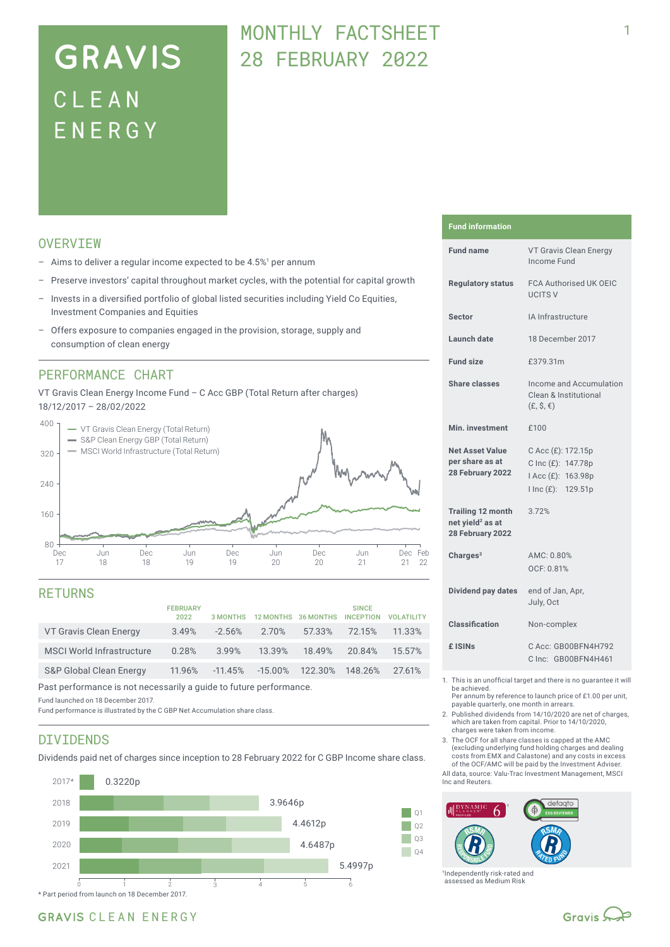# **GRAVIS** CLEA N ENERG Y

## MONTHLY FACTSHEFT 28 FEBRUARY 2022

### **OVERVTEW**

- $-$  Aims to deliver a regular income expected to be 4.5%<sup>1</sup> per annum
- Preserve investors' capital throughout market cycles, with the potential for capital growth
- Invests in a diversified portfolio of global listed securities including Yield Co Equities, Investment Companies and Equities
- Offers exposure to companies engaged in the provision, storage, supply and consumption of clean energy

### PERFORMANCE CHART

VT Gravis Clean Energy Income Fund – C Acc GBP (Total Return after charges) 18/12/2017 – 28/02/2022



#### RETURNS

|                                    | <b>FEBRUARY</b><br>2022 | 3 MONTHS  |            | 12 MONTHS 36 MONTHS | <b>SINCE</b><br><b>INCEPTION</b> | <b>VOI ATILITY</b> |
|------------------------------------|-------------------------|-----------|------------|---------------------|----------------------------------|--------------------|
| VT Gravis Clean Energy             | 3.49%                   | $-2.56%$  | 2.70%      | 57.33%              | 72.15%                           | 11.33%             |
| <b>MSCI World Infrastructure</b>   | 0.28%                   | 3.99%     | 13.39%     | 18.49%              | 20.84%                           | 15.57%             |
| <b>S&amp;P Global Clean Energy</b> | 11.96%                  | $-11.45%$ | $-15.00\%$ | 122.30% 148.26%     |                                  | 27.61%             |

Past performance is not necessarily a guide to future performance.

Fund launched on 18 December 2017.

Fund performance is illustrated by the C GBP Net Accumulation share class.

### DIVIDENDS

Dividends paid net of charges since inception to 28 February 2022 for C GBP Income share class.



#### **Fund information**

| <b>Fund name</b>                                                             | VT Gravis Clean Energy<br>Income Fund                                                |  |  |
|------------------------------------------------------------------------------|--------------------------------------------------------------------------------------|--|--|
| <b>Regulatory status</b>                                                     | <b>FCA Authorised UK OEIC</b><br><b>UCITS V</b>                                      |  |  |
| <b>Sector</b>                                                                | IA Infrastructure                                                                    |  |  |
| Launch date                                                                  | 18 December 2017                                                                     |  |  |
| <b>Fund size</b>                                                             | £379.31m                                                                             |  |  |
| Share classes                                                                | Income and Accumulation<br>Clean & Institutional<br>$(E, \hat{S}, \epsilon)$         |  |  |
| Min. investment                                                              | £100                                                                                 |  |  |
| <b>Net Asset Value</b><br>per share as at<br>28 February 2022                | C Acc (£): 172.15p<br>C Inc (£): 147.78p<br>I Acc (£): 163.98p<br>I Inc (£): 129.51p |  |  |
| <b>Trailing 12 month</b><br>net yield <sup>2</sup> as at<br>28 February 2022 | 3.72%                                                                                |  |  |
| Charges $3$                                                                  | AMC: 0.80%<br>OCF: 0.81%                                                             |  |  |
| Dividend pay dates                                                           | end of Jan, Apr,<br>July, Oct                                                        |  |  |
| Classification                                                               | Non-complex                                                                          |  |  |
| £ ISIN <sub>S</sub>                                                          | C Acc: GB00BFN4H792<br>C Inc: GB00BFN4H461                                           |  |  |
|                                                                              |                                                                                      |  |  |

- 1. This is an unofficial target and there is no guarantee it will be achieved.
	- Per annum by reference to launch price of £1.00 per unit, payable quarterly, one month in arrears.
- 2. Published dividends from 14/10/2020 are net of charges, which are taken from capital. Prior to 14/10/2020, charges were taken from income.
- 3. The OCF for all share classes is capped at the AMC (excluding underlying fund holding charges and dealing costs from EMX and Calastone) and any costs in excess of the OCF/AMC will be paid by the Investment Adviser.

All data, source: Valu-Trac Investment Management, MSCI Inc and Reuters.



†Independently risk-rated and assessed as Medium Risk

1

## GRAVIS CLEAN ENERGY

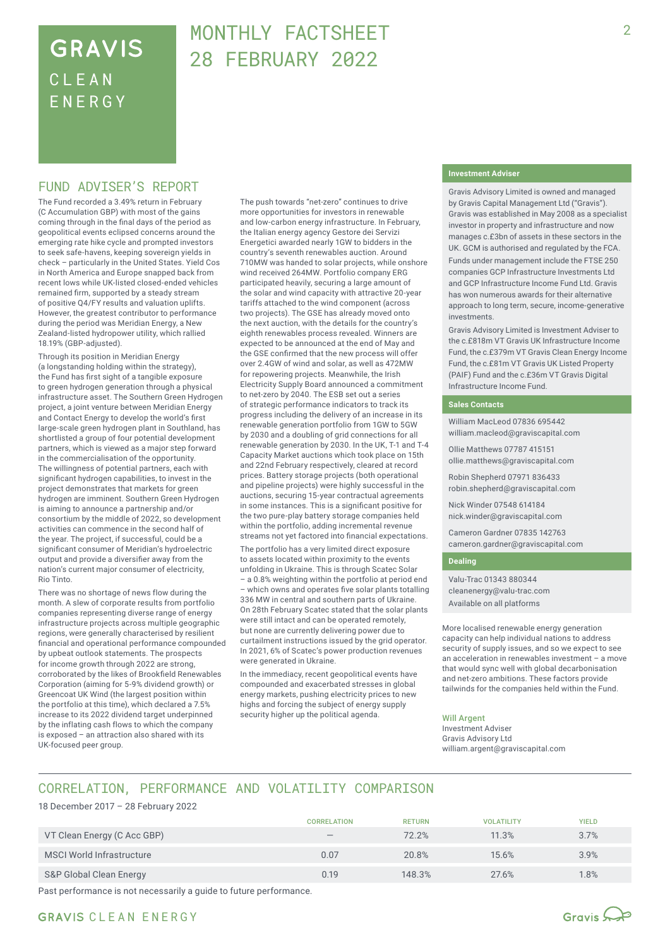## **GRAVIS** CLEA N ENERG Y

## MONTHLY FACTSHEET 28 FEBRUARY 2022

### FUND ADVISER'S REPORT

The Fund recorded a 3.49% return in February (C Accumulation GBP) with most of the gains coming through in the final days of the period as geopolitical events eclipsed concerns around the emerging rate hike cycle and prompted investors to seek safe-havens, keeping sovereign yields in check – particularly in the United States. Yield Cos in North America and Europe snapped back from recent lows while UK-listed closed-ended vehicles remained firm, supported by a steady stream of positive Q4/FY results and valuation uplifts. However, the greatest contributor to performance during the period was Meridian Energy, a New Zealand-listed hydropower utility, which rallied 18.19% (GBP‑adjusted).

Through its position in Meridian Energy (a longstanding holding within the strategy), the Fund has first sight of a tangible exposure to green hydrogen generation through a physical infrastructure asset. The Southern Green Hydrogen project, a joint venture between Meridian Energy and Contact Energy to develop the world's first large-scale green hydrogen plant in Southland, has shortlisted a group of four potential development partners, which is viewed as a major step forward in the commercialisation of the opportunity. The willingness of potential partners, each with significant hydrogen capabilities, to invest in the project demonstrates that markets for green hydrogen are imminent. Southern Green Hydrogen is aiming to announce a partnership and/or consortium by the middle of 2022, so development activities can commence in the second half of the year. The project, if successful, could be a significant consumer of Meridian's hydroelectric output and provide a diversifier away from the nation's current major consumer of electricity, Rio Tinto.

There was no shortage of news flow during the month. A slew of corporate results from portfolio companies representing diverse range of energy infrastructure projects across multiple geographic regions, were generally characterised by resilient financial and operational performance compounded by upbeat outlook statements. The prospects for income growth through 2022 are strong, corroborated by the likes of Brookfield Renewables Corporation (aiming for 5-9% dividend growth) or Greencoat UK Wind (the largest position within the portfolio at this time), which declared a 7.5% increase to its 2022 dividend target underpinned by the inflating cash flows to which the company is exposed – an attraction also shared with its UK-focused peer group.

The push towards "net-zero" continues to drive more opportunities for investors in renewable and low-carbon energy infrastructure. In February, the Italian energy agency Gestore dei Servizi Energetici awarded nearly 1GW to bidders in the country's seventh renewables auction. Around 710MW was handed to solar projects, while onshore wind received 264MW. Portfolio company ERG participated heavily, securing a large amount of the solar and wind capacity with attractive 20-year tariffs attached to the wind component (across two projects). The GSE has already moved onto the next auction, with the details for the country's eighth renewables process revealed. Winners are expected to be announced at the end of May and the GSE confirmed that the new process will offer over 2.4GW of wind and solar, as well as 472MW for repowering projects. Meanwhile, the Irish Electricity Supply Board announced a commitment to net-zero by 2040. The ESB set out a series of strategic performance indicators to track its progress including the delivery of an increase in its renewable generation portfolio from 1GW to 5GW by 2030 and a doubling of grid connections for all renewable generation by 2030. In the UK, T-1 and T-4 Capacity Market auctions which took place on 15th and 22nd February respectively, cleared at record prices. Battery storage projects (both operational and pipeline projects) were highly successful in the auctions, securing 15-year contractual agreements in some instances. This is a significant positive for the two pure-play battery storage companies held within the portfolio, adding incremental revenue streams not yet factored into financial expectations.

The portfolio has a very limited direct exposure to assets located within proximity to the events unfolding in Ukraine. This is through Scatec Solar – a 0.8% weighting within the portfolio at period end – which owns and operates five solar plants totalling 336 MW in central and southern parts of Ukraine. On 28th February Scatec stated that the solar plants were still intact and can be operated remotely, but none are currently delivering power due to curtailment instructions issued by the grid operator. In 2021, 6% of Scatec's power production revenues were generated in Ukraine.

In the immediacy, recent geopolitical events have compounded and exacerbated stresses in global energy markets, pushing electricity prices to new highs and forcing the subject of energy supply security higher up the political agenda.

#### **Investment Adviser**

Gravis Advisory Limited is owned and managed by Gravis Capital Management Ltd ("Gravis"). Gravis was established in May 2008 as a specialist investor in property and infrastructure and now manages c.£3bn of assets in these sectors in the UK. GCM is authorised and regulated by the FCA.

Funds under management include the FTSE 250 companies GCP Infrastructure Investments Ltd and GCP Infrastructure Income Fund Ltd. Gravis has won numerous awards for their alternative approach to long term, secure, income-generative investments.

Gravis Advisory Limited is Investment Adviser to the c.£818m VT Gravis UK Infrastructure Income Fund, the c.£379m VT Gravis Clean Energy Income Fund, the c.£81m VT Gravis UK Listed Property (PAIF) Fund and the c.£36m VT Gravis Digital Infrastructure Income Fund.

#### **Sales Contacts**

William MacLeod 07836 695442 william.macleod@graviscapital.com

Ollie Matthews 07787 415151 ollie.matthews@graviscapital.com

Robin Shepherd 07971 836433 robin.shepherd@graviscapital.com

Nick Winder 07548 614184 nick.winder@graviscapital.com

Cameron Gardner 07835 142763 cameron.gardner@graviscapital.com

#### **Dealing**

Valu-Trac 01343 880344 cleanenergy@valu-trac.com Available on all platforms

More localised renewable energy generation capacity can help individual nations to address security of supply issues, and so we expect to see an acceleration in renewables investment – a move that would sync well with global decarbonisation and net-zero ambitions. These factors provide tailwinds for the companies held within the Fund.

#### Will Argent

Investment Adviser Gravis Advisory Ltd william.argent@graviscapital.com

## CORRELATION, PERFORMANCE AND VOLATILITY COMPARISON

18 December 2017 – 28 February 2022

|                             | <b>CORRELATION</b>              | <b>RETURN</b> | <b>VOLATILITY</b> | <b>YIELD</b> |
|-----------------------------|---------------------------------|---------------|-------------------|--------------|
| VT Clean Energy (C Acc GBP) | $\hspace{0.1mm}-\hspace{0.1mm}$ | 72.2%         | 11.3%             | 3.7%         |
| MSCI World Infrastructure   | 0.07                            | 20.8%         | 15.6%             | 3.9%         |
| S&P Global Clean Energy     | 0.19                            | 148.3%        | 27.6%             | 1.8%         |

Past performance is not necessarily a guide to future performance.